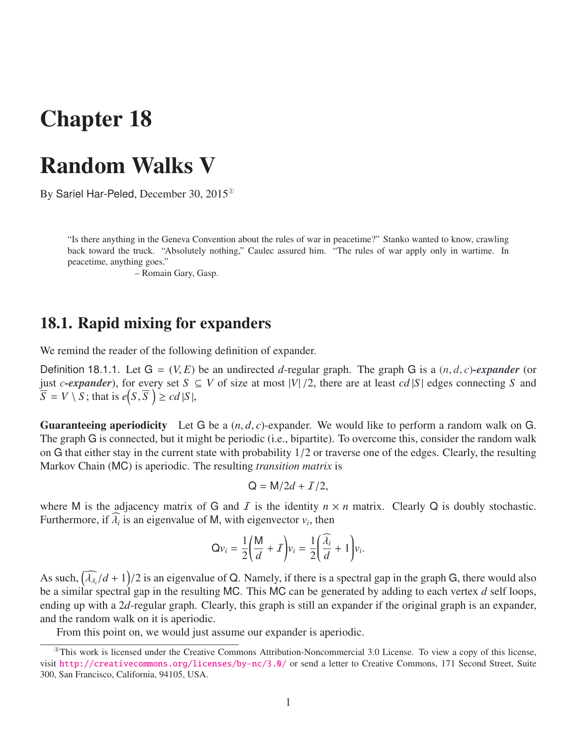# Chapter 18

## Random Walks V

By Sariel Har-Peled, December 30,  $2015^\circ$ 

"Is there anything in the Geneva Convention about the rules of war in peacetime?" Stanko wanted to know, crawling back toward the truck. "Absolutely nothing," Caulec assured him. "The rules of war apply only in wartime. In peacetime, anything goes."

– Romain Gary, Gasp.

### 18.1. Rapid mixing for expanders

We remind the reader of the following definition of expander.

Definition 18.1.1. Let  $G = (V, E)$  be an undirected *d*-regular graph. The graph G is a  $(n, d, c)$ -expander (or just *c*-expander), for every set *S* ⊆ *V* of size at most  $|V|/2$ , there are at least *cd*  $|S|$  edges connecting *S* and  $\overline{S} = V \setminus \overline{S}$ ; that is  $e(S, \overline{S}) \geq cd |S|$ ,

Guaranteeing aperiodicity Let <sup>G</sup> be a (*n*, *<sup>d</sup>*, *<sup>c</sup>*)-expander. We would like to perform a random walk on <sup>G</sup>. The graph G is connected, but it might be periodic (i.e., bipartite). To overcome this, consider the random walk on <sup>G</sup> that either stay in the current state with probability 1/2 or traverse one of the edges. Clearly, the resulting Markov Chain (MC) is aperiodic. The resulting *transition matrix* is

$$
Q = M/2d + I/2,
$$

where M is the adjacency matrix of G and I is the identity  $n \times n$  matrix. Clearly Q is doubly stochastic. Furthermore, if  $\lambda_i$  is an eigenvalue of M, with eigenvector  $v_i$ , then

$$
Qv_i = \frac{1}{2} \left( \frac{M}{d} + I \right) v_i = \frac{1}{2} \left( \frac{\widehat{\lambda}_i}{d} + 1 \right) v_i.
$$

As such,  $(\widehat{\lambda}_{\lambda_i}/d + 1)/2$  is an eigenvalue of Q. Namely, if there is a spectral gap in the graph G, there would also<br>be a similar spectral gap in the resulting MC. This MC can be generated by adding to each vertex d sel As such,  $(\lambda_{\lambda_i}/a + 1)/2$  is an eigenvalue of Q. Namely, if there is a spectral gap in the graph G, there would also<br>be a similar spectral gap in the resulting MC. This MC can be generated by adding to each vertex *d* self ending up with a 2*d*-regular graph. Clearly, this graph is still an expander if the original graph is an expander, and the random walk on it is aperiodic.

<span id="page-0-0"></span>From this point on, we would just assume our expander is aperiodic.

 $^{\circ}$ This work is licensed under the Creative Commons Attribution-Noncommercial 3.0 License. To view a copy of this license, visit <http://creativecommons.org/licenses/by-nc/3.0/> or send a letter to Creative Commons, 171 Second Street, Suite 300, San Francisco, California, 94105, USA.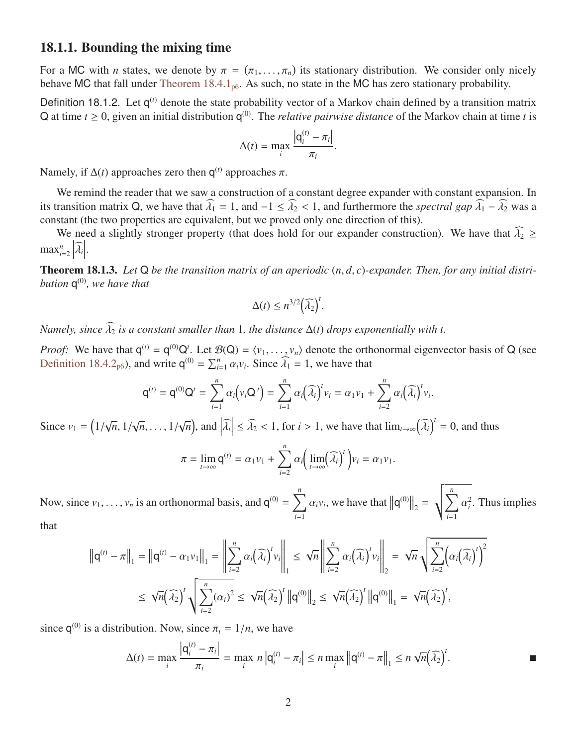#### 18.1.1. Bounding the mixing time

For a MC with *n* states, we denote by  $\pi = (\pi_1, ..., \pi_n)$  its stationary distribution. We consider only nicely behave MC that fall under Theorem 18.4.1. As such no state in the MC has zero stationary probability For a MC with *n* states, we denote by  $\pi = (\pi_1, \dots, \pi_n)$  its stationary distribution. We consider only if behave MC that fall under [Theorem 18.4.1](#page-5-0)<sub>[p6](#page-5-0)</sub>. As such, no state in the MC has zero stationary probability.

Definition 18.1.2. Let q<sup>(t)</sup> denote the state probability vector of a Markov chain defined by a transition matrix Q at time  $t \geq 0$ , given an initial distribution  $q^{(0)}$ . The *relative pairwise distance* of the Markov chain at time *t* is

$$
\Delta(t) = \max_{i} \frac{|\mathbf{q}_i^{(t)} - \pi_i|}{\pi_i}
$$

Namely, if  $\Delta(t)$  approaches zero then  $q^{(t)}$  approaches  $\pi$ .

We remind the reader that we saw a construction of a constant degree expander with constant expansion. In its transition matrix Q, we have that  $\widehat{\lambda}_1 = 1$ , and  $-1 \le \widehat{\lambda}_2 < 1$ , and furthermore the *spectral gap*  $\widehat{\lambda}_1 - \widehat{\lambda}_2$  was a constant (the two properties are equivalent, but we proved only one direction of this).

We need a slightly stronger property (that does hold for our expander construction). We have that  $\widehat{\lambda}_2 \geq$  $max_{i=2}^n$  $\left| \widehat{\lambda}_i \right|$  $\begin{array}{c} \hline \end{array}$ .

Theorem 18.1.3. *Let* <sup>Q</sup> *be the transition matrix of an aperiodic* (*n*, *<sup>d</sup>*, *<sup>c</sup>*)*-expander. Then, for any initial distribution* q (0)*, we have that*

$$
\Delta(t) \leq n^{3/2} \left(\widehat{\lambda_2}\right)^t
$$

*Namely, since*  $\widehat{\lambda}_2$  *is a constant smaller than* 1*, the distance*  $\Delta(t)$  *drops exponentially with t.* 

*Proof:* We have that  $q^{(t)} = q^{(0)}Q^t$ . Let  $\mathcal{B}(Q) = \langle v_1, \ldots, v_n \rangle$  denote the orthonormal eigenvector basis of Q (see Definition 18.4.2.) and write  $q^{(0)} = \sum_{k=0}^{n} q_k v_k$ . Since  $\hat{\lambda}_k = 1$  we have that [Definition 18.4.2](#page-5-1)<sub>[p6](#page-5-1)</sub>), and write  $q^{(0)} = \sum_{i=1}^{n} \alpha_i v_i$ . Since  $\widehat{\lambda}_1 = 1$ , we have that

$$
q^{(t)} = q^{(0)}Q^{t} = \sum_{i=1}^{n} \alpha_i \left(v_i Q^{t}\right) = \sum_{i=1}^{n} \alpha_i \left(\widehat{\lambda}_i\right)^t v_i = \alpha_1 v_1 + \sum_{i=2}^{n} \alpha_i \left(\widehat{\lambda}_i\right)^t v_i.
$$

Since  $v_1 = \left(\frac{1}{2}\right)$ √ *<sup>n</sup>*, <sup>1</sup>/ √  $\overline{n}, \ldots, 1/$ √  $\overline{n}$ , and  $\left| \widehat{\lambda_i} \right|$  $\leq \widehat{\lambda}_2 < 1$ , for *i* > 1, we have that  $\lim_{t \to \infty} (\widehat{\lambda}_i)$  $\int_0^t$  = 0, and thus

$$
\pi = \lim_{t \to \infty} \mathsf{q}^{(t)} = \alpha_1 \nu_1 + \sum_{i=2}^n \alpha_i \Big( \lim_{t \to \infty} (\widehat{\lambda}_i)^t \Big) \nu_i = \alpha_1 \nu_1.
$$

Now, since  $v_1, \ldots, v_n$  is an orthonormal basis, and  $q^{(0)} = \sum_{i=1}^n$  $\sum_{i=1}^{n} \alpha_i v_i$ , we have that  $||q^{(0)}||_2 = \sqrt{\sum_{i=1}^{n} q_i^2}$  $\sum_{i=1}$  $\frac{2}{i}$ . Thus implies that

$$
\left\|\mathbf{q}^{(t)} - \pi\right\|_{1} = \left\|\mathbf{q}^{(t)} - \alpha_{1}v_{1}\right\|_{1} = \left\|\sum_{i=2}^{n} \alpha_{i}(\widehat{\lambda}_{i})^{t}v_{i}\right\|_{1} \leq \sqrt{n}\left\|\sum_{i=2}^{n} \alpha_{i}(\widehat{\lambda}_{i})^{t}v_{i}\right\|_{2} = \sqrt{n}\sqrt{\sum_{i=2}^{n} (\alpha_{i}(\widehat{\lambda}_{i})^{t})^{2}}
$$

$$
\leq \sqrt{n}(\widehat{\lambda}_{2})^{t}\sqrt{\sum_{i=2}^{n} (\alpha_{i})^{2}} \leq \sqrt{n}(\widehat{\lambda}_{2})^{t} \left\|\mathbf{q}^{(0)}\right\|_{2} \leq \sqrt{n}(\widehat{\lambda}_{2})^{t} \left\|\mathbf{q}^{(0)}\right\|_{1} = \sqrt{n}(\widehat{\lambda}_{2})^{t},
$$

since  $q^{(0)}$  is a distribution. Now, since  $\pi_i = 1/n$ , we have

$$
\Delta(t) = \max_{i} \frac{|{\bf q}_{i}^{(t)} - \pi_{i}|}{\pi_{i}} = \max_{i} n |{\bf q}_{i}^{(t)} - \pi_{i}| \le n \max_{i} ||{\bf q}^{(t)} - \pi||_{1} \le n \sqrt{n}(\widehat{\lambda}_{2})^{t}.
$$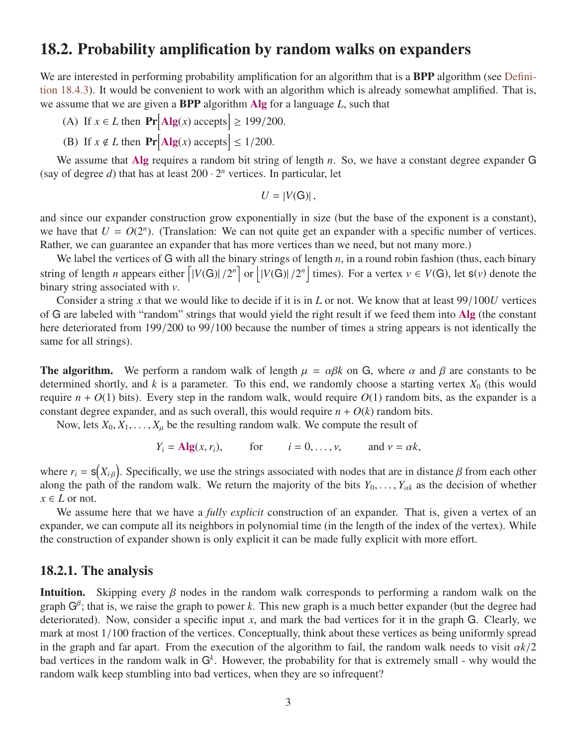## 18.2. Probability amplification by random walks on expanders

We are interested in performing probability amplification for an algorithm that is a BPP algorithm (see [Defini](#page-5-2)[tion 18.4.3\)](#page-5-2). It would be convenient to work with an algorithm which is already somewhat amplified. That is, we assume that we are given a BPP algorithm Alg for a language *L*, such that

- (A) If  $x \in L$  then  $\Pr[\text{Alg}(x) \text{ accepts}] \ge 199/200$ .
- (B) If  $x \notin L$  then  $\Pr[\text{Alg}(x) \text{ accepts}] \le 1/200$ .

We assume that Alg requires a random bit string of length *n*. So, we have a constant degree expander G (say of degree  $d$ ) that has at least  $200 \cdot 2^n$  vertices. In particular, let

$$
U=|V(G)|,
$$

and since our expander construction grow exponentially in size (but the base of the exponent is a constant), we have that  $U = O(2^n)$ . (Translation: We can not quite get an expander with a specific number of vertices. Rather, we can guarantee an expander that has more vertices than we need, but not many more.)

We label the vertices of G with all the binary strings of length *n*, in a round robin fashion (thus, each binary string of length *n* appears either  $\left[ |V(G)| / 2^n \right]$  or  $\left[ |V(G)| / 2^n \right]$  times). For a vertex  $v \in V(G)$ , let  $s(v)$  denote the binary string associated with *v*.

Consider a string *<sup>x</sup>* that we would like to decide if it is in *<sup>L</sup>* or not. We know that at least 99/100*<sup>U</sup>* vertices of G are labeled with "random" strings that would yield the right result if we feed them into Alg (the constant here deteriorated from 199/200 to 99/100 because the number of times a string appears is not identically the same for all strings).

**The algorithm.** We perform a random walk of length  $\mu = \alpha \beta k$  on G, where  $\alpha$  and  $\beta$  are constants to be determined shortly, and  $k$  is a parameter. To this end, we randomly choose a starting vertex  $X_0$  (this would require  $n + O(1)$  bits). Every step in the random walk, would require  $O(1)$  random bits, as the expander is a constant degree expander, and as such overall, this would require  $n + O(k)$  random bits.

Now, lets  $X_0, X_1, \ldots, X_\mu$  be the resulting random walk. We compute the result of

$$
Y_i = \text{Alg}(x, r_i),
$$
 for  $i = 0, ..., v,$  and  $v = \alpha k,$ 

where  $r_i = s(X_{i,\beta})$ . Specifically, we use the strings associated with nodes that are in distance  $\beta$  from each other along the path of the random walk. We return the majority of the bits  $Y_0, \ldots, Y_{\alpha k}$  as the decision of whether  $x \in I$  or not  $x \in L$  or not.

We assume here that we have a *fully explicit* construction of an expander. That is, given a vertex of an expander, we can compute all its neighbors in polynomial time (in the length of the index of the vertex). While the construction of expander shown is only explicit it can be made fully explicit with more effort.

#### 18.2.1. The analysis

**Intuition.** Skipping every  $\beta$  nodes in the random walk corresponds to performing a random walk on the graph  $G^{\beta}$ ; that is, we raise the graph to power *k*. This new graph is a much better expander (but the degree had deteriorated). Now, consider a specific input *x*, and mark the bad vertices for it in the graph G. Clearly, we mark at most 1/100 fraction of the vertices. Conceptually, think about these vertices as being uniformly spread in the graph and far apart. From the execution of the algorithm to fail, the random walk needs to visit  $\alpha k/2$ bad vertices in the random walk in G*<sup>k</sup>* . However, the probability for that is extremely small - why would the random walk keep stumbling into bad vertices, when they are so infrequent?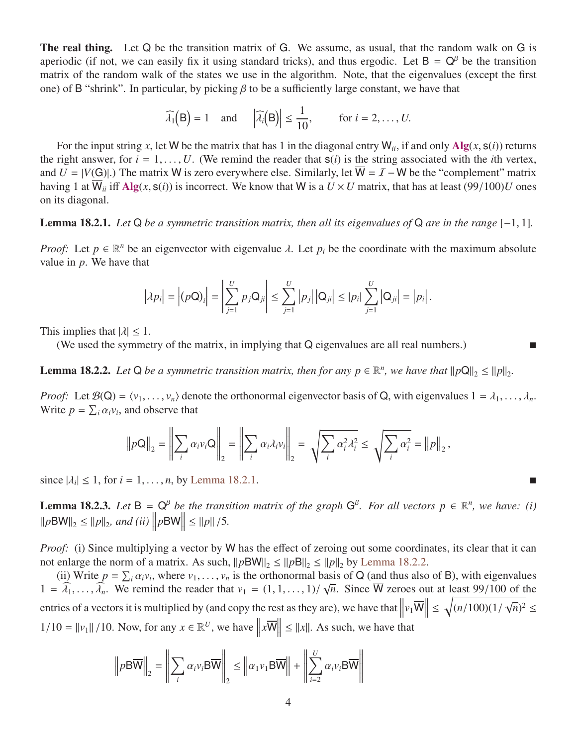The real thing. Let Q be the transition matrix of G. We assume, as usual, that the random walk on G is aperiodic (if not, we can easily fix it using standard tricks), and thus ergodic. Let  $B = Q^{\beta}$  be the transition matrix of the random walk of the states we use in the algorithm. Note, that the eigenvalues (except the first one) of B "shrink". In particular, by picking  $\beta$  to be a sufficiently large constant, we have that

$$
\widehat{\lambda}_1(B) = 1
$$
 and  $|\widehat{\lambda}_i(B)| \le \frac{1}{10}$ , for  $i = 2, ..., U$ .

For the input string *x*, let W be the matrix that has 1 in the diagonal entry  $W_{ii}$ , if and only  $Alg(x, s(i))$  returns the right answer, for  $i = 1, \ldots, U$ . (We remind the reader that  $s(i)$  is the string associated with the *i*th vertex, and  $U = |V(G)|$ .) The matrix W is zero everywhere else. Similarly, let  $\overline{W} = \mathcal{I} - W$  be the "complement" matrix having 1 at  $\overline{W}_{ii}$  iff Alg(*x*,  $s(i)$ ) is incorrect. We know that W is a  $U \times U$  matrix, that has at least (99/100)*U* ones on its diagonal.

#### <span id="page-3-0"></span>Lemma 18.2.1. *Let* <sup>Q</sup> *be a symmetric transition matrix, then all its eigenvalues of* <sup>Q</sup> *are in the range* [−1, 1]*.*

*Proof:* Let  $p \in \mathbb{R}^n$  be an eigenvector with eigenvalue  $\lambda$ . Let  $p_i$  be the coordinate with the maximum absolute value in  $p$ . We have that value in *p*. We have that

$$
|\lambda p_i| = |(p\mathsf{Q})_i| = \left|\sum_{j=1}^U p_j \mathsf{Q}_{ji}\right| \leq \sum_{j=1}^U |p_j| |\mathsf{Q}_{ji}| \leq |p_i| \sum_{j=1}^U |\mathsf{Q}_{ji}| = |p_i|.
$$

This implies that  $|\lambda| \leq 1$ .

(We used the symmetry of the matrix, in implying that Q eigenvalues are all real numbers.)

<span id="page-3-1"></span>**Lemma 18.2.2.** Let Q be a symmetric transition matrix, then for any  $p \in \mathbb{R}^n$ , we have that  $||pQ||_2 \le ||p||_2$ .

*Proof:* Let  $\mathcal{B}(Q) = \langle v_1, \ldots, v_n \rangle$  denote the orthonormal eigenvector basis of Q, with eigenvalues  $1 = \lambda_1, \ldots, \lambda_n$ . Write  $p = \sum_i \alpha_i v_i$ , and observe that

$$
\left\|p\mathbf{Q}\right\|_2 = \left\|\sum_i \alpha_i v_i \mathbf{Q}\right\|_2 = \left\|\sum_i \alpha_i \lambda_i v_i\right\|_2 = \sqrt{\sum_i \alpha_i^2 \lambda_i^2} \le \sqrt{\sum_i \alpha_i^2} = \left\|p\right\|_2,
$$

since  $|\lambda_i| \leq 1$ , for  $i = 1, ..., n$ , by [Lemma 18.2.1.](#page-3-0)

<span id="page-3-2"></span>**Lemma 18.2.3.** Let  $B = Q^{\beta}$  be the transition matrix of the graph  $G^{\beta}$ . For all vectors  $p \in \mathbb{R}^n$ , we have: (i)  $\|p\text{BW}\|_2 \le \|p\|_2$ , and (ii)  $\left\|p\text{B}\overline{\text{W}}\right\| \le \|p\|/5$ .

*Proof:* (i) Since multiplying a vector by W has the effect of zeroing out some coordinates, its clear that it can not enlarge the norm of a matrix. As such,  $||pBW||_2 \le ||pB||_2 \le ||p||_2$  by [Lemma 18.2.2.](#page-3-1)

(ii) Write  $p = \sum_i \alpha_i v_i$ , where  $v_1, \ldots, v_n$  is the orthonormal basis of Q (and thus also of B), with eigenvalues<br> $\widehat{\lambda}$  We remind the reader that  $v_i = (1 \ 1 \ \ 1)/\sqrt{n}$ . Since  $\overline{M}$  zeroes out at least 99/100 of the  $1 = \lambda_1, \ldots, \lambda_n$ . We remind the reader that  $v_1 = (1, 1, \ldots, 1) / \sqrt{n}$ . Since W zeroes out at least 99/100 of the entries of a vectors it is multiplied by (and copy the rest as they are), we have that  $||v_1\overline{W}||$  $\frac{1}{2}$  $\leq \sqrt{(n/100)(1/1)}$ √  $\overline{n}$ <sup>2</sup>  $\leq$  $1/10 = ||v_1|| / 10$ . Now, for any  $x \in \mathbb{R}^U$ , we have  $||$  $x\overline{W}$  $\leq$  ||x||. As such, we have that

$$
\left\| p \mathbf{B} \overline{\mathbf{W}} \right\|_2 = \left\| \sum_i \alpha_i v_i \mathbf{B} \overline{\mathbf{W}} \right\|_2 \le \left\| \alpha_1 v_1 \mathbf{B} \overline{\mathbf{W}} \right\| + \left\| \sum_{i=2}^U \alpha_i v_i \mathbf{B} \overline{\mathbf{W}} \right\|
$$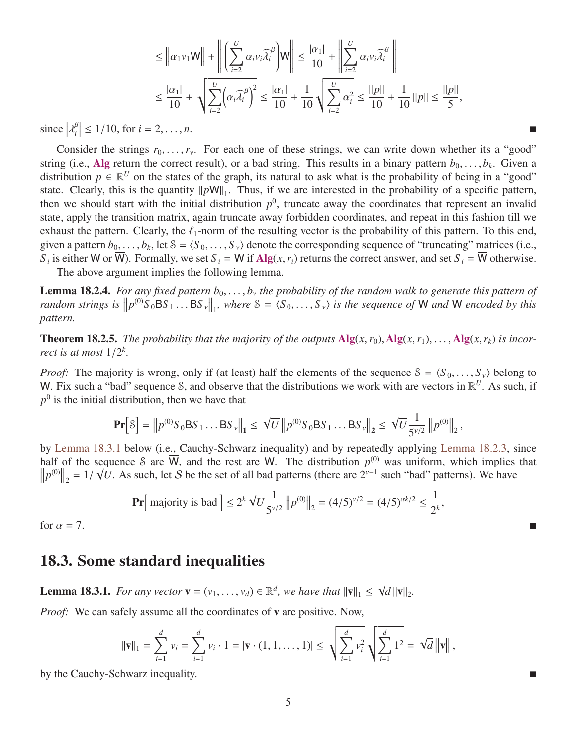$$
\leq \left\| \alpha_1 v_1 \overline{W} \right\| + \left\| \left( \sum_{i=2}^U \alpha_i v_i \overline{\lambda_i}^\beta \right) \overline{W} \right\| \leq \frac{|\alpha_1|}{10} + \left\| \sum_{i=2}^U \alpha_i v_i \overline{\lambda_i}^\beta \right\|
$$
  

$$
\leq \frac{|\alpha_1|}{10} + \sqrt{\sum_{i=2}^U (\alpha_i \overline{\lambda_i}^\beta)^2} \leq \frac{|\alpha_1|}{10} + \frac{1}{10} \sqrt{\sum_{i=2}^U \alpha_i^2} \leq \frac{||p||}{10} + \frac{1}{10} ||p|| \leq \frac{||p||}{5},
$$

 $\left|\lambda_i^{\beta}\right|$  ≤ 1/10, for *i* = 2, . . . , *n*.

Consider the strings  $r_0, \ldots, r_\nu$ . For each one of these strings, we can write down whether its a "good" string (i.e., Alg return the correct result), or a bad string. This results in a binary pattern  $b_0, \ldots, b_k$ . Given a distribution  $p \in \mathbb{R}^U$  on the states of the graph its natural to ask what is the probability of bei distribution  $p \in \mathbb{R}^U$  on the states of the graph, its natural to ask what is the probability of being in a "good" state. Clearly, this is the quantity  $||pW||_1$ . Thus, if we are interested in the probability of a specific pattern, then we should start with the initial distribution  $p^0$ , truncate away the coordinates that represent an invalid state, apply the transition matrix, again truncate away forbidden coordinates, and repeat in this fashion till we exhaust the pattern. Clearly, the  $\ell_1$ -norm of the resulting vector is the probability of this pattern. To this end, given a pattern  $b_0, \ldots, b_k$ , let  $S = \langle S_0, \ldots, S_\nu \rangle$  denote the corresponding sequence of "truncating" matrices (i.e.,  $S_i$ , is either  $W \text{ or } \overline{W}$ ). Formally, we set  $S_i = W$  if  $\text{Alg}(x, r_i)$  returns the correct answer, *S*<sub>*i*</sub> is either W or W). Formally, we set *S*<sub>*i*</sub> = W if Alg(*x*, *r<sub>i</sub>*) returns the correct answer, and set *S*<sub>*i*</sub> = W otherwise.

The above argument implies the following lemma.

**Lemma 18.2.4.** *For any fixed pattern*  $b_0, \ldots, b_\nu$  *the probability of the random walk to generate this pattern of random strings is*  $||p^{(0)}S_0BS_1...BS_v||_1$ , where  $S = \langle S_0,...,S_v \rangle$  *is the sequence of* W *and*  $\overline{W}$  *encoded by this pattern.*

**Theorem 18.2.5.** The probability that the majority of the outputs  $\mathbf{Alg}(x, r_0)$ ,  $\mathbf{Alg}(x, r_1)$ , ...,  $\mathbf{Alg}(x, r_k)$  is incor*rect is at most*  $1/2^k$ .

*Proof:* The majority is wrong, only if (at least) half the elements of the sequence  $S = \langle S_0, \ldots, S_{\nu} \rangle$  belong to  $\overline{W}$ . Fix such a "bad" sequence S, and observe that the distributions we work with are vectors in  $\mathbb{R}^U$ . As such, if  $p<sup>0</sup>$  is the initial distribution, then we have that

$$
\mathbf{Pr}\left[\mathcal{S}\right] = \left\|p^{(0)}S_0\mathsf{BS}_1\ldots\mathsf{BS}_\nu\right\|_1 \leq \left\|\nabla\left\|p^{(0)}S_0\mathsf{BS}_1\ldots\mathsf{BS}_\nu\right\|_2 \leq \left\|\nabla\frac{1}{5^{\nu/2}}\left\|p^{(0)}\right\|_2,
$$

by [Lemma 18.3.1](#page-4-0) below (i.e., Cauchy-Schwarz inequality) and by repeatedly applying [Lemma 18.2.3,](#page-3-2) since half of the sequence S are  $\overline{W}$ , and the rest are W. The distribution  $p^{(0)}$  was uniform, which implies that  $||p^{(0)}||_2 = 1/\sqrt{U}$ . As such, let S be the set of all bad patterns (there are 2<sup>ν-1</sup> such "bad" patterns). We have

$$
\Pr\left[\text{ majority is bad}\right] \le 2^k \sqrt{U} \frac{1}{5^{\nu/2}} \left\| p^{(0)} \right\|_2 = (4/5)^{\nu/2} = (4/5)^{\alpha k/2} \le \frac{1}{2^k},
$$

for  $\alpha = 7$ .

### 18.3. Some standard inequalities

<span id="page-4-0"></span>**Lemma 18.3.1.** *For any vector*  $\mathbf{v} = (v_1, \dots, v_d) \in \mathbb{R}^d$ , *we have that*  $||\mathbf{v}||_1 \leq$ √  $d ||\mathbf{v}||_2.$ 

*Proof:* We can safely assume all the coordinates of **v** are positive. Now,

$$
\|\mathbf{v}\|_1 = \sum_{i=1}^d v_i = \sum_{i=1}^d v_i \cdot 1 = |\mathbf{v} \cdot (1, 1, \dots, 1)| \leq \sqrt{\sum_{i=1}^d v_i^2} \sqrt{\sum_{i=1}^d 1^2} = \sqrt{d} \|\mathbf{v}\|,
$$

by the Cauchy-Schwarz inequality.